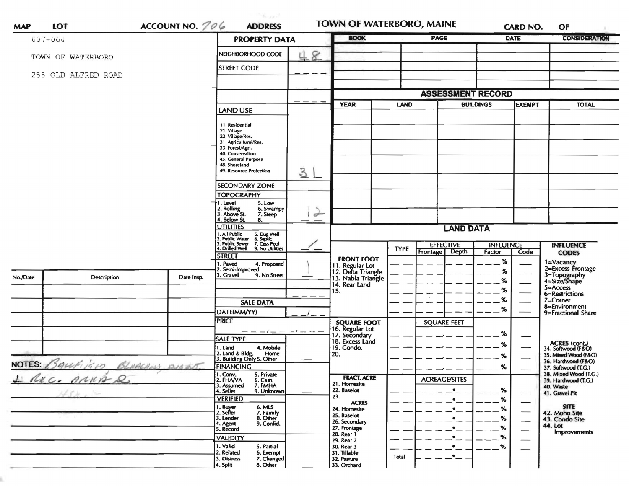| ACCOUNT NO. 706<br><b>MAP</b><br>$007 - 064$ |                            |                  | <b>PROPERTY DATA</b>                                                                                                                                                                   |               | <b>BOOK</b>                                         |             | <b>PAGE</b>          |                                       |                          | <b>DATE</b>                                                 | <b>CONSIDERATION</b>                                        |
|----------------------------------------------|----------------------------|------------------|----------------------------------------------------------------------------------------------------------------------------------------------------------------------------------------|---------------|-----------------------------------------------------|-------------|----------------------|---------------------------------------|--------------------------|-------------------------------------------------------------|-------------------------------------------------------------|
|                                              |                            |                  |                                                                                                                                                                                        |               |                                                     |             |                      |                                       |                          |                                                             |                                                             |
|                                              | TOWN OF WATERBORO          |                  | NEIGHBORHOOD CODE                                                                                                                                                                      | 8             |                                                     |             |                      |                                       |                          |                                                             |                                                             |
| 255 OLD ALFRED ROAD                          |                            |                  | <b>STREET CODE</b>                                                                                                                                                                     |               |                                                     |             |                      |                                       |                          |                                                             |                                                             |
|                                              |                            |                  |                                                                                                                                                                                        |               |                                                     |             |                      |                                       |                          |                                                             |                                                             |
|                                              |                            |                  |                                                                                                                                                                                        |               |                                                     |             |                      |                                       | <b>ASSESSMENT RECORD</b> |                                                             |                                                             |
|                                              |                            |                  | LAND USE                                                                                                                                                                               | $  -$         | <b>YEAR</b>                                         | <b>LAND</b> |                      |                                       | <b>BUILDINGS</b>         | <b>EXEMPT</b>                                               | <b>TOTAL</b>                                                |
|                                              |                            |                  | 11. Residential<br>21. Village<br>22. Village/Res.<br>31. Agricultural/Res.<br>33. Forest/Agri.<br>40. Conservation<br>45. General Purpose<br>48. Shoreland<br>49. Resource Protection |               |                                                     |             |                      |                                       |                          |                                                             |                                                             |
|                                              |                            |                  | <b>SECONDARY ZONE</b>                                                                                                                                                                  | 31            |                                                     |             |                      |                                       |                          |                                                             |                                                             |
|                                              |                            |                  | <b>TOPOGRAPHY</b>                                                                                                                                                                      |               |                                                     |             |                      |                                       |                          |                                                             |                                                             |
|                                              |                            |                  | 1. Level<br>5. Low<br>. Rolling<br>. Above St.<br>6. Swampy<br>7. Steep                                                                                                                | $\rightarrow$ |                                                     |             |                      |                                       |                          |                                                             |                                                             |
|                                              |                            |                  | . Below St.<br>8.<br><b>UTILITIES</b>                                                                                                                                                  |               |                                                     |             |                      |                                       |                          |                                                             |                                                             |
|                                              |                            |                  | All Public 5. Dug Well<br>Public Water 6. Septic<br>Public Sewer 7. Cess Pool.                                                                                                         |               | <b>LAND DATA</b>                                    |             |                      |                                       |                          |                                                             |                                                             |
|                                              |                            |                  | 4. Drilled Well 9. No Utilities                                                                                                                                                        |               |                                                     | <b>TYPE</b> | <b>EFFECTIVE</b>     |                                       | <b>INFLUENCE</b>         |                                                             | <b>INFLUENCE</b>                                            |
|                                              |                            |                  | <b>STREET</b>                                                                                                                                                                          |               |                                                     |             |                      | Depth                                 | Factor                   | Code                                                        | <b>CODES</b>                                                |
|                                              |                            |                  |                                                                                                                                                                                        |               |                                                     |             | <b>Frontage</b>      |                                       |                          |                                                             |                                                             |
|                                              |                            |                  | I. Paved<br>4. Proposed                                                                                                                                                                |               | <b>FRONT FOOT</b><br>11. Regular Lot                |             |                      |                                       | %                        |                                                             |                                                             |
|                                              | Description                | Date Insp.       | 2. Semi-Improved<br>9. No Street<br>3. Gravel                                                                                                                                          |               | 12. Delta Triangle<br>13. Nabla Triangle            |             |                      |                                       | %                        |                                                             | 1=Vacancy<br>2=Excess Frontage<br>3=Topography              |
|                                              |                            |                  |                                                                                                                                                                                        |               | 14. Rear Land<br>15.                                |             |                      |                                       | %<br>%                   |                                                             | 4=Size/Shape<br>$5 =$ Access                                |
|                                              |                            |                  |                                                                                                                                                                                        |               |                                                     |             |                      |                                       | %                        |                                                             | 6=Restrictions<br>$7 =$ Corner                              |
|                                              |                            |                  | <b>SALE DATA</b><br>DATE(MM/YY)                                                                                                                                                        |               |                                                     |             |                      |                                       | %                        |                                                             | 8=Environment<br>9=Fractional Share                         |
|                                              |                            |                  | <b>PRICE</b>                                                                                                                                                                           |               | <b>SQUARE FOOT</b>                                  |             | <b>SQUARE FEET</b>   |                                       |                          |                                                             |                                                             |
|                                              |                            |                  | — — — 1 — — — 1 — — —                                                                                                                                                                  |               |                                                     |             |                      |                                       | %                        |                                                             |                                                             |
|                                              |                            |                  | SALE TYPE                                                                                                                                                                              |               | 16. Regular Lot<br>17. Secondary<br>18. Excess Land |             |                      |                                       | %                        |                                                             |                                                             |
|                                              |                            |                  | 1. Land<br>4. Mobile<br>Home                                                                                                                                                           |               | 19. Condo.<br>20.                                   |             |                      |                                       | %                        |                                                             | ACRES (cont.)<br>34. Softwood (F&O)<br>35. Mixed Wood (F&O) |
|                                              | NOTES: BALLFIRED BLUNCHOLS | <b>JOS ARTIS</b> | 2. Land & Bldg. Home<br>3. Building Only 5. Other<br><b>FINANCING</b>                                                                                                                  |               |                                                     |             |                      |                                       |                          |                                                             | 36. Hardwood (F&O)                                          |
|                                              |                            |                  | 1. Conv.<br>5. Private                                                                                                                                                                 |               | <b>FRACT. ACRE</b>                                  |             | — —                  |                                       | $--- 70$                 | $\overbrace{\phantom{aaaaa}}$                               | 37. Softwood (1.G.)<br>38. Mixed Wood (T.G.)                |
|                                              | L'ACC. ANNA 2              |                  | 2. FHAVA<br>6. Cash<br>7. FMHA<br>3. Assumed                                                                                                                                           |               | 21. Homesite                                        |             | <b>ACREAGE/SITES</b> | $\bullet$                             |                          |                                                             | 39. Hardwood (T.G.)<br>40. Waste                            |
|                                              | $454 - -$                  |                  | 9. Unknown<br>4. Seller<br><b>VERIFIED</b>                                                                                                                                             |               | 22. Baselot<br>23.                                  |             |                      | $\bullet$                             | $\%$<br>%                |                                                             | 41. Gravel Pit                                              |
|                                              |                            |                  |                                                                                                                                                                                        |               | <b>ACRES</b><br>24. Homesite                        |             |                      |                                       | $\%$                     | $\overbrace{\hspace{25mm}}^{ }$                             | <b>SITE</b>                                                 |
|                                              |                            |                  | 1. Buyer<br>2. Seller<br>6. MLS<br>7. Family<br>8. Other<br>3. Lender                                                                                                                  |               | 25. Baselot                                         |             |                      |                                       |                          | $\overbrace{\qquad \qquad }^{}$<br>$\overline{\phantom{0}}$ | 42. Moho Site<br>43. Condo Site                             |
|                                              |                            |                  | 9. Confid.<br>4. Agent<br>5. Record                                                                                                                                                    |               | 26. Secondary<br>27. Frontage                       |             |                      | $\bullet$                             | %                        | $\overline{\phantom{0}}$                                    | 44. Lot                                                     |
| No./Date                                     |                            |                  | <b>VALIDITY</b>                                                                                                                                                                        |               | 28. Rear 1<br>29. Rear 2                            |             |                      | ٠                                     | $\%$                     |                                                             | <b>Improvements</b>                                         |
|                                              |                            |                  | 1. Valid<br>5. Partial<br>2. Related<br>6. Exempt                                                                                                                                      |               | 30. Rear 3<br>31. Tillable                          |             |                      | ٠<br>$\cdot$ $\overline{\phantom{a}}$ | %                        |                                                             |                                                             |

í,